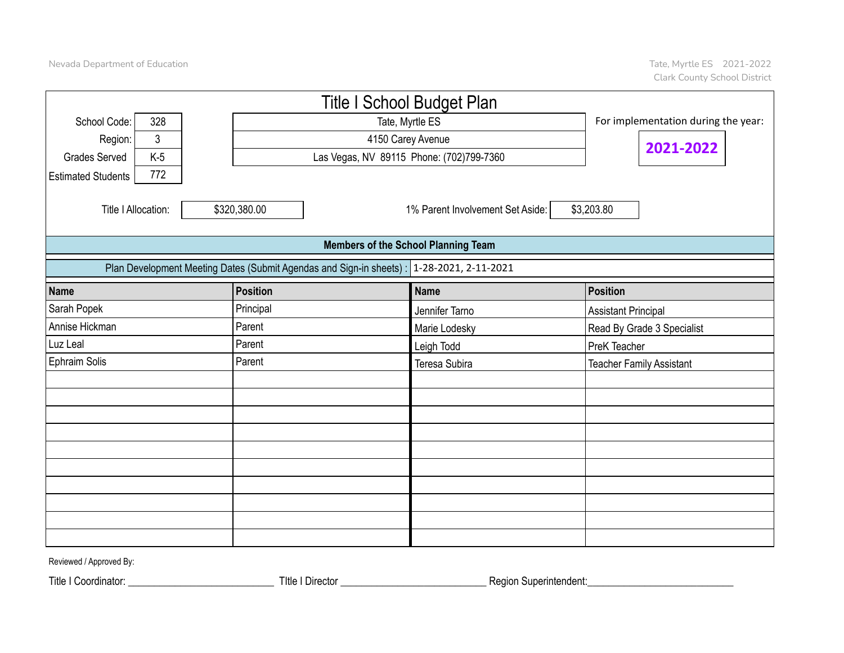|                           |       |                                                                                           | <b>Title I School Budget Plan</b>          |                                     |
|---------------------------|-------|-------------------------------------------------------------------------------------------|--------------------------------------------|-------------------------------------|
| School Code:              | 328   |                                                                                           | Tate, Myrtle ES                            | For implementation during the year: |
| Region:                   | 3     |                                                                                           |                                            |                                     |
| <b>Grades Served</b>      | $K-5$ |                                                                                           | Las Vegas, NV 89115 Phone: (702)799-7360   | 2021-2022                           |
| <b>Estimated Students</b> | 772   |                                                                                           |                                            |                                     |
| Title I Allocation:       |       | \$320,380.00                                                                              | 1% Parent Involvement Set Aside:           | \$3,203.80                          |
|                           |       |                                                                                           | <b>Members of the School Planning Team</b> |                                     |
|                           |       | Plan Development Meeting Dates (Submit Agendas and Sign-in sheets) : 1-28-2021, 2-11-2021 |                                            |                                     |
| <b>Name</b>               |       | <b>Position</b>                                                                           | <b>Name</b>                                | Position                            |
| Sarah Popek               |       | Principal                                                                                 | Jennifer Tarno                             | <b>Assistant Principal</b>          |
| Annise Hickman            |       | Parent                                                                                    | Marie Lodesky                              | Read By Grade 3 Specialist          |
| Luz Leal                  |       | Parent                                                                                    | Leigh Todd                                 | PreK Teacher                        |
| Ephraim Solis             |       | Parent                                                                                    | Teresa Subira                              | <b>Teacher Family Assistant</b>     |
|                           |       |                                                                                           |                                            |                                     |
|                           |       |                                                                                           |                                            |                                     |
|                           |       |                                                                                           |                                            |                                     |
|                           |       |                                                                                           |                                            |                                     |
|                           |       |                                                                                           |                                            |                                     |
|                           |       |                                                                                           |                                            |                                     |
|                           |       |                                                                                           |                                            |                                     |
|                           |       |                                                                                           |                                            |                                     |
|                           |       |                                                                                           |                                            |                                     |
|                           |       |                                                                                           |                                            |                                     |

Reviewed / Approved By:

Title I Coordinator: \_\_\_\_\_\_\_\_\_\_\_\_\_\_\_\_\_\_\_\_\_\_\_\_\_\_\_\_ TItle I Director \_\_\_\_\_\_\_\_\_\_\_\_\_\_\_\_\_\_\_\_\_\_\_\_\_\_\_\_ Region Superintendent:\_\_\_\_\_\_\_\_\_\_\_\_\_\_\_\_\_\_\_\_\_\_\_\_\_\_\_\_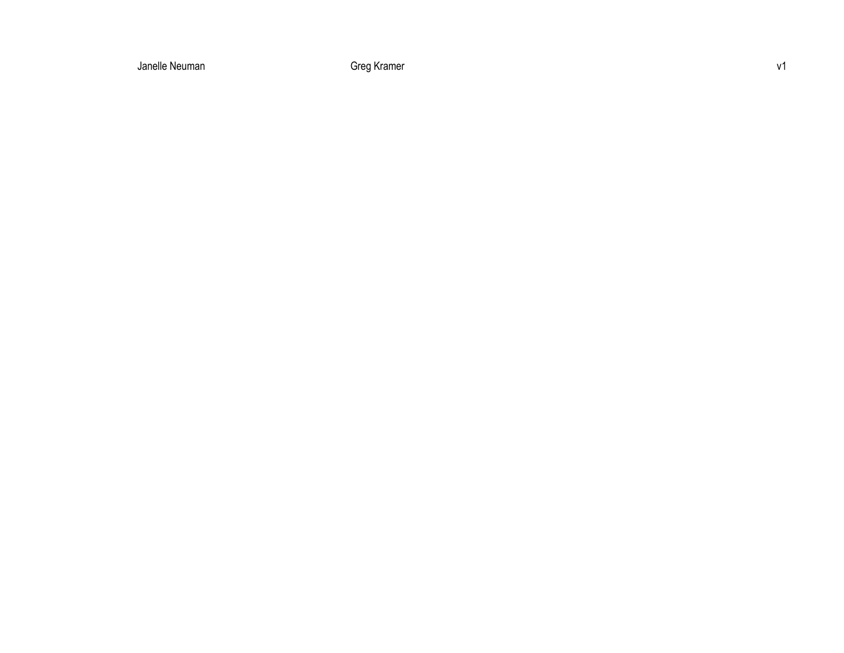Michelle Meuman and a state of the Greg Kramer Rebecca Access Janet Control of the Basic School and Access 197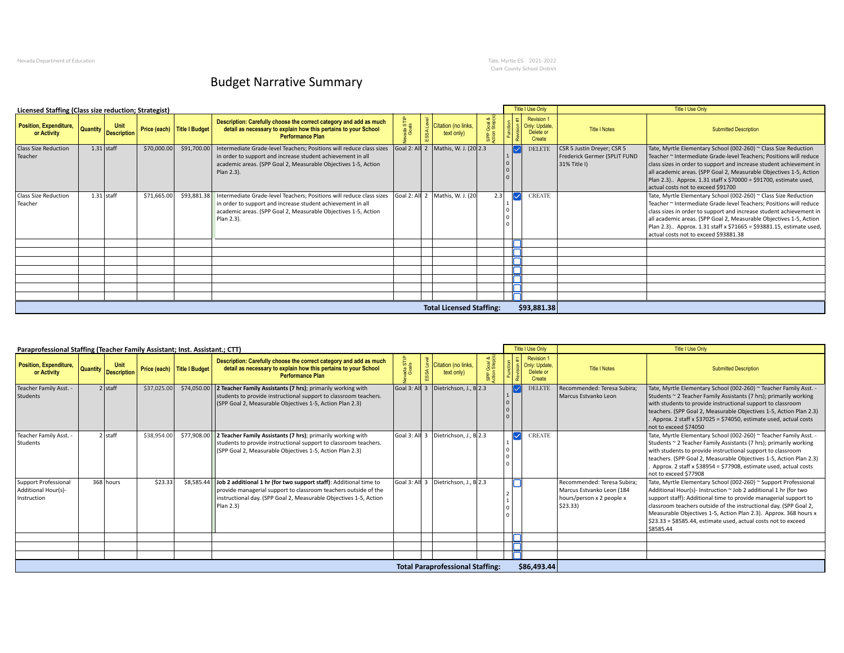Nevada Department of Education Tate, Myrtle ES 2021-2022 Clark County School District

## Budget Narrative Summary

| Licensed Staffing (Class size reduction; Strategist) |                              |             |                             |                                                                                                                                                                                                                     |                  |                                                 |     |                   | Title I Use Only                                          |                                                                            | Title I Use Only                                                                                                                                                                                                                                                                                                                                                                                   |
|------------------------------------------------------|------------------------------|-------------|-----------------------------|---------------------------------------------------------------------------------------------------------------------------------------------------------------------------------------------------------------------|------------------|-------------------------------------------------|-----|-------------------|-----------------------------------------------------------|----------------------------------------------------------------------------|----------------------------------------------------------------------------------------------------------------------------------------------------------------------------------------------------------------------------------------------------------------------------------------------------------------------------------------------------------------------------------------------------|
| Position, Expenditure,<br>or Activity                | Unit<br>Quantity Description |             | Price (each) Title I Budget | Description: Carefully choose the correct category and add as much<br>detail as necessary to explain how this pertains to your School<br><b>Performance Plan</b>                                                    | ada STI<br>Goals | $\frac{3}{2}$ Citation (no links,<br>text only) |     |                   | <b>Revision 1</b><br>Only: Update.<br>Delete or<br>Create | <b>Title I Notes</b>                                                       | <b>Submitted Description</b>                                                                                                                                                                                                                                                                                                                                                                       |
| <b>Class Size Reduction</b><br>Teacher               | $1.31$ staff                 | \$70,000.00 | \$91,700.00                 | Intermediate Grade-level Teachers; Positions will reduce class sizes<br>in order to support and increase student achievement in all<br>academic areas. (SPP Goal 2, Measurable Objectives 1-5, Action<br>Plan 2.3). |                  | Goal 2: All 2   Mathis, W. J. (20 2.3           |     |                   | <b>DELETE</b>                                             | CSR 5 Justin Dreyer; CSR 5<br>Frederick Germer (SPLIT FUND<br>31% Title I) | Tate, Myrtle Elementary School (002-260) ~ Class Size Reduction<br>Teacher ~ Intermediate Grade-level Teachers; Positions will reduce<br>class sizes in order to support and increase student achievement in<br>all academic areas. (SPP Goal 2, Measurable Objectives 1-5, Action<br>Plan 2.3) Approx. 1.31 staff x \$70000 = \$91700, estimate used,<br>actual costs not to exceed \$91700       |
| <b>Class Size Reduction</b><br>Teacher               | $1.31$ staff                 | \$71,665.00 | \$93,881.38                 | Intermediate Grade-level Teachers; Positions will reduce class sizes<br>in order to support and increase student achievement in all<br>academic areas. (SPP Goal 2, Measurable Objectives 1-5, Action<br>Plan 2.3). |                  | $\vert$ Goal 2: All 2 $\vert$ Mathis, W. J. (20 | 2.3 | $\overline{\vee}$ | <b>CREATE</b>                                             |                                                                            | Tate, Myrtle Elementary School (002-260) ~ Class Size Reduction<br>Teacher ~ Intermediate Grade-level Teachers; Positions will reduce<br>class sizes in order to support and increase student achievement in<br>all academic areas. (SPP Goal 2, Measurable Objectives 1-5, Action<br>Plan 2.3) Approx. 1.31 staff x \$71665 = \$93881.15, estimate used,<br>actual costs not to exceed \$93881.38 |
|                                                      |                              |             |                             |                                                                                                                                                                                                                     |                  |                                                 |     |                   |                                                           |                                                                            |                                                                                                                                                                                                                                                                                                                                                                                                    |
|                                                      |                              |             |                             |                                                                                                                                                                                                                     |                  | <b>Total Licensed Staffing:</b>                 |     |                   | \$93,881.38                                               |                                                                            |                                                                                                                                                                                                                                                                                                                                                                                                    |

| Revision <sup>*</sup><br>Description: Carefully choose the correct category and add as much<br>asa<br>aas<br>Citation (no links,<br>Unit<br>Only: Update<br>detail as necessary to explain how this pertains to your School<br>Price (each) Title I Budget<br><b>Quantity</b><br><b>Title I Notes</b><br><b>Submitted Description</b><br>Delete or<br><b>Description</b><br>text only)<br>or Activity<br><b>Performance Plan</b><br>\$37,025.00<br>$\vert$ Goal 3: All 3 $\vert$ Dietrichson, J., B $\vert$ 2.3<br>2 staff<br>\$74,050.00<br>2 Teacher Family Assistants (7 hrs); primarily working with<br>Recommended: Teresa Subira;<br>Tate, Myrtle Elementary School (002-260) ~ Teacher Family Asst. -<br><b>DELET</b><br>students to provide instructional support to classroom teachers.<br>Marcus Estvanko Leon<br>Students ~ 2 Teacher Family Assistants (7 hrs); primarily working<br>(SPP Goal 2, Measurable Objectives 1-5, Action Plan 2.3)<br>with students to provide instructional support to classroom<br>teachers. (SPP Goal 2, Measurable Objectives 1-5, Action Plan 2.3)<br>Approx. 2 staff x \$37025 = \$74050, estimate used, actual costs<br>not to exceed \$74050<br>Teacher Family Asst.<br>2 Teacher Family Assistants (7 hrs); primarily working with<br>Goal 3: All 3 Dietrichson, J., B 2.3<br>Tate, Myrtle Elementary School (002-260) ~ Teacher Family Asst. -<br>2 staff<br>\$38,954.00<br>\$77,908.00<br><b>CREATE</b><br>Students<br>students to provide instructional support to classroom teachers.<br>Students ~ 2 Teacher Family Assistants (7 hrs); primarily working<br>(SPP Goal 2, Measurable Objectives 1-5, Action Plan 2.3)<br>with students to provide instructional support to classroom<br>teachers. (SPP Goal 2, Measurable Objectives 1-5, Action Plan 2.3)<br>Approx. 2 staff x \$38954 = \$77908, estimate used, actual costs<br>not to exceed \$77908<br>368 hours<br>\$23.33<br>Goal 3: All 3   Dietrichson, J., B 2.3<br>Job 2 additional 1 hr (for two support staff): Additional time to<br>Recommended: Teresa Subira;<br>Tate, Myrtle Elementary School (002-260) ~ Support Professional<br>\$8,585.44<br>provide managerial support to classroom teachers outside of the<br>Marcus Estvanko Leon (184<br>Additional Hour(s)- Instruction ~ Job 2 additional 1 hr (for two<br>linstructional day, (SPP Goal 2, Measurable Objectives 1-5, Action<br>support staff): Additional time to provide managerial support to<br>Instruction<br>hours/person x 2 people x<br>Plan 2.3<br>\$23.33<br>classroom teachers outside of the instructional day. (SPP Goal 2,<br>Measurable Objectives 1-5, Action Plan 2.3). Approx. 368 hours x<br>\$23.33 = \$8585.44, estimate used, actual costs not to exceed<br>\$8585.44<br>\$86,493.44<br><b>Total Paraprofessional Staffing:</b> | Paraprofessional Staffing (Teacher Family Assistant; Inst. Assistant.; CTT) |  |  |  |  | Title I Use Only | Title I Use Only |
|----------------------------------------------------------------------------------------------------------------------------------------------------------------------------------------------------------------------------------------------------------------------------------------------------------------------------------------------------------------------------------------------------------------------------------------------------------------------------------------------------------------------------------------------------------------------------------------------------------------------------------------------------------------------------------------------------------------------------------------------------------------------------------------------------------------------------------------------------------------------------------------------------------------------------------------------------------------------------------------------------------------------------------------------------------------------------------------------------------------------------------------------------------------------------------------------------------------------------------------------------------------------------------------------------------------------------------------------------------------------------------------------------------------------------------------------------------------------------------------------------------------------------------------------------------------------------------------------------------------------------------------------------------------------------------------------------------------------------------------------------------------------------------------------------------------------------------------------------------------------------------------------------------------------------------------------------------------------------------------------------------------------------------------------------------------------------------------------------------------------------------------------------------------------------------------------------------------------------------------------------------------------------------------------------------------------------------------------------------------------------------------------------------------------------------------------------------------------------------------------------------------------------------------------------------------------------------------------------------------------------------------------------------------------------------------------------------------------------------------------------------------------------------------------------------------------------------------|-----------------------------------------------------------------------------|--|--|--|--|------------------|------------------|
|                                                                                                                                                                                                                                                                                                                                                                                                                                                                                                                                                                                                                                                                                                                                                                                                                                                                                                                                                                                                                                                                                                                                                                                                                                                                                                                                                                                                                                                                                                                                                                                                                                                                                                                                                                                                                                                                                                                                                                                                                                                                                                                                                                                                                                                                                                                                                                                                                                                                                                                                                                                                                                                                                                                                                                                                                                        | <b>Position, Expenditure,</b>                                               |  |  |  |  |                  |                  |
|                                                                                                                                                                                                                                                                                                                                                                                                                                                                                                                                                                                                                                                                                                                                                                                                                                                                                                                                                                                                                                                                                                                                                                                                                                                                                                                                                                                                                                                                                                                                                                                                                                                                                                                                                                                                                                                                                                                                                                                                                                                                                                                                                                                                                                                                                                                                                                                                                                                                                                                                                                                                                                                                                                                                                                                                                                        | Teacher Family Asst. -<br>Students                                          |  |  |  |  |                  |                  |
|                                                                                                                                                                                                                                                                                                                                                                                                                                                                                                                                                                                                                                                                                                                                                                                                                                                                                                                                                                                                                                                                                                                                                                                                                                                                                                                                                                                                                                                                                                                                                                                                                                                                                                                                                                                                                                                                                                                                                                                                                                                                                                                                                                                                                                                                                                                                                                                                                                                                                                                                                                                                                                                                                                                                                                                                                                        |                                                                             |  |  |  |  |                  |                  |
|                                                                                                                                                                                                                                                                                                                                                                                                                                                                                                                                                                                                                                                                                                                                                                                                                                                                                                                                                                                                                                                                                                                                                                                                                                                                                                                                                                                                                                                                                                                                                                                                                                                                                                                                                                                                                                                                                                                                                                                                                                                                                                                                                                                                                                                                                                                                                                                                                                                                                                                                                                                                                                                                                                                                                                                                                                        | Support Professional<br>Additional Hour(s)-                                 |  |  |  |  |                  |                  |
|                                                                                                                                                                                                                                                                                                                                                                                                                                                                                                                                                                                                                                                                                                                                                                                                                                                                                                                                                                                                                                                                                                                                                                                                                                                                                                                                                                                                                                                                                                                                                                                                                                                                                                                                                                                                                                                                                                                                                                                                                                                                                                                                                                                                                                                                                                                                                                                                                                                                                                                                                                                                                                                                                                                                                                                                                                        |                                                                             |  |  |  |  |                  |                  |
|                                                                                                                                                                                                                                                                                                                                                                                                                                                                                                                                                                                                                                                                                                                                                                                                                                                                                                                                                                                                                                                                                                                                                                                                                                                                                                                                                                                                                                                                                                                                                                                                                                                                                                                                                                                                                                                                                                                                                                                                                                                                                                                                                                                                                                                                                                                                                                                                                                                                                                                                                                                                                                                                                                                                                                                                                                        |                                                                             |  |  |  |  |                  |                  |
|                                                                                                                                                                                                                                                                                                                                                                                                                                                                                                                                                                                                                                                                                                                                                                                                                                                                                                                                                                                                                                                                                                                                                                                                                                                                                                                                                                                                                                                                                                                                                                                                                                                                                                                                                                                                                                                                                                                                                                                                                                                                                                                                                                                                                                                                                                                                                                                                                                                                                                                                                                                                                                                                                                                                                                                                                                        |                                                                             |  |  |  |  |                  |                  |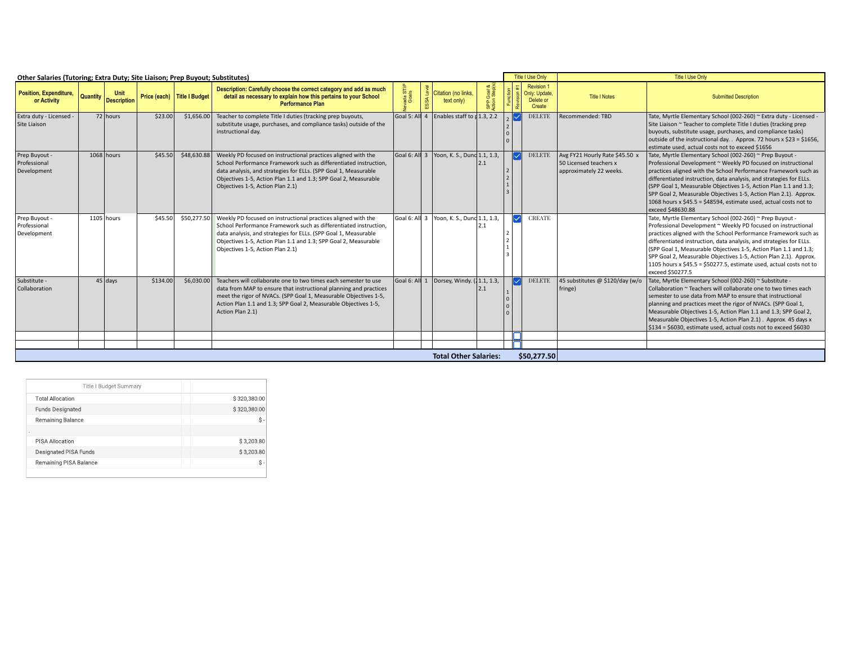| Other Salaries (Tutoring; Extra Duty; Site Liaison; Prep Buyout; Substitutes) |          |                            |                             |                                                                                                                                                                                                                                                                                                                         |                  |                                                                  |                        | Title I Use Only                                         | <b>Title I Use Only</b>                                                             |                                                                                                                                                                                                                                                                                                                                                                                                                                                                                                       |  |  |  |  |
|-------------------------------------------------------------------------------|----------|----------------------------|-----------------------------|-------------------------------------------------------------------------------------------------------------------------------------------------------------------------------------------------------------------------------------------------------------------------------------------------------------------------|------------------|------------------------------------------------------------------|------------------------|----------------------------------------------------------|-------------------------------------------------------------------------------------|-------------------------------------------------------------------------------------------------------------------------------------------------------------------------------------------------------------------------------------------------------------------------------------------------------------------------------------------------------------------------------------------------------------------------------------------------------------------------------------------------------|--|--|--|--|
| Position, Expenditure,<br>or Activity                                         | Quantity | Unit<br><b>Description</b> | Price (each) Title I Budget | Description: Carefully choose the correct category and add as much<br>detail as necessary to explain how this pertains to your School<br><b>Performance Plan</b>                                                                                                                                                        | ada STI<br>Coals | Citation (no links,<br>text only)                                |                        | <b>Revision 1</b><br>Only: Update<br>Delete or<br>Create | <b>Title I Notes</b>                                                                | <b>Submitted Description</b>                                                                                                                                                                                                                                                                                                                                                                                                                                                                          |  |  |  |  |
| Extra duty - Licensed -<br>Site Liaison                                       |          | 72 hours                   | \$23.00                     | \$1,656.00 Teacher to complete Title I duties (tracking prep buyouts,<br>substitute usage, purchases, and compliance tasks) outside of the<br>instructional day.                                                                                                                                                        |                  | Goal 5: All $\overline{4}$ Enables staff to $\overline{1,3,2.2}$ | ▮◡                     | <b>DELETE</b>                                            | Recommended: TBD                                                                    | Tate, Myrtle Elementary School (002-260) ~ Extra duty - Licensed -<br>Site Liaison ~ Teacher to complete Title I duties (tracking prep<br>buyouts, substitute usage, purchases, and compliance tasks)<br>outside of the instructional day. . Approx. 72 hours x \$23 = \$1656,<br>estimate used. actual costs not to exceed \$1656                                                                                                                                                                    |  |  |  |  |
| Prep Buyout<br>Professional<br>Development                                    |          | 1068 hours                 | \$45.50                     | \$48,630.88 Weekly PD focused on instructional practices aligned with the<br>School Performance Framework such as differentiated instruction.<br>data analysis, and strategies for ELLs. (SPP Goal 1, Measurable<br>Objectives 1-5, Action Plan 1.1 and 1.3; SPP Goal 2, Measurable<br>Objectives 1-5, Action Plan 2.1) |                  | $\vert$ Goal 6: All 3 $\vert$ Yoon, K. S., Dunc 1.1, 1.3,        |                        | $\sqrt{\phantom{a}}$ DELETE                              | Avg FY21 Hourly Rate \$45.50 x<br>50 Licensed teachers x<br>approximately 22 weeks. | Tate, Myrtle Elementary School (002-260) ~ Prep Buyout -<br>Professional Development ~ Weekly PD focused on instructional<br>practices aligned with the School Performance Framework such as<br>differentiated instruction, data analysis, and strategies for ELLs.<br>(SPP Goal 1, Measurable Objectives 1-5, Action Plan 1.1 and 1.3;<br>SPP Goal 2, Measurable Objectives 1-5, Action Plan 2.1). Approx.<br>1068 hours x \$45.5 = \$48594, estimate used, actual costs not to<br>exceed \$48630.88 |  |  |  |  |
| Prep Buyout<br>Professional<br>Development                                    |          | 1105 hours                 | \$45.50                     | \$50,277.50 Weekly PD focused on instructional practices aligned with the<br>School Performance Framework such as differentiated instruction.<br>data analysis, and strategies for ELLs. (SPP Goal 1, Measurable<br>Objectives 1-5, Action Plan 1.1 and 1.3; SPP Goal 2, Measurable<br>Objectives 1-5, Action Plan 2.1) |                  | Goal 6: All 3   Yoon, K. S., Dunc 1.1, 1.3,                      | $ \! \triangledown\! $ | <b>CREATE</b>                                            |                                                                                     | Tate, Myrtle Elementary School (002-260) ~ Prep Buyout<br>Professional Development ~ Weekly PD focused on instructional<br>practices aligned with the School Performance Framework such as<br>differentiated instruction, data analysis, and strategies for ELLs.<br>(SPP Goal 1, Measurable Objectives 1-5, Action Plan 1.1 and 1.3;<br>SPP Goal 2, Measurable Objectives 1-5, Action Plan 2.1). Approx.<br>1105 hours x \$45.5 = \$50277.5, estimate used, actual costs not to<br>exceed \$50277.5  |  |  |  |  |
| Substitute -<br>Collaboration                                                 |          | $45$ days                  | \$134.00                    | \$6.030.00 Teachers will collaborate one to two times each semester to use<br>data from MAP to ensure that instructional planning and practices<br>meet the rigor of NVACs. (SPP Goal 1, Measurable Objectives 1-5,<br>Action Plan 1.1 and 1.3; SPP Goal 2, Measurable Objectives 1-5,<br>Action Plan 2.1)              |                  | Goal 6: All 1 Dorsey, Windy. (11.1, 1.3,                         |                        | <b>DELETI</b>                                            | 45 substitutes @ \$120/day (w/o<br>fringe)                                          | Tate, Myrtle Elementary School (002-260) ~ Substitute -<br>Collaboration ~ Teachers will collaborate one to two times each<br>semester to use data from MAP to ensure that instructional<br>planning and practices meet the rigor of NVACs. (SPP Goal 1,<br>Measurable Objectives 1-5, Action Plan 1.1 and 1.3; SPP Goal 2,<br>Measurable Objectives 1-5, Action Plan 2.1). Approx. 45 days x<br>\$134 = \$6030, estimate used, actual costs not to exceed \$6030                                     |  |  |  |  |
|                                                                               |          |                            |                             |                                                                                                                                                                                                                                                                                                                         |                  |                                                                  |                        |                                                          |                                                                                     |                                                                                                                                                                                                                                                                                                                                                                                                                                                                                                       |  |  |  |  |
|                                                                               |          |                            |                             |                                                                                                                                                                                                                                                                                                                         |                  |                                                                  |                        |                                                          |                                                                                     |                                                                                                                                                                                                                                                                                                                                                                                                                                                                                                       |  |  |  |  |
|                                                                               |          |                            |                             |                                                                                                                                                                                                                                                                                                                         |                  | <b>Total Other Salaries:</b>                                     |                        | \$50,277.50                                              |                                                                                     |                                                                                                                                                                                                                                                                                                                                                                                                                                                                                                       |  |  |  |  |

| Title I Budget Summary  |              |
|-------------------------|--------------|
| <b>Total Allocation</b> | \$320,380.00 |
| <b>Funds Designated</b> | \$320,380.00 |
| Remaining Balance       | \$-          |
| $\bullet$               |              |
| PISA Allocation         | \$3,203.80   |
| Designated PISA Funds   | \$3,203.80   |
| Remaining PISA Balance  | Ŝ-           |
|                         |              |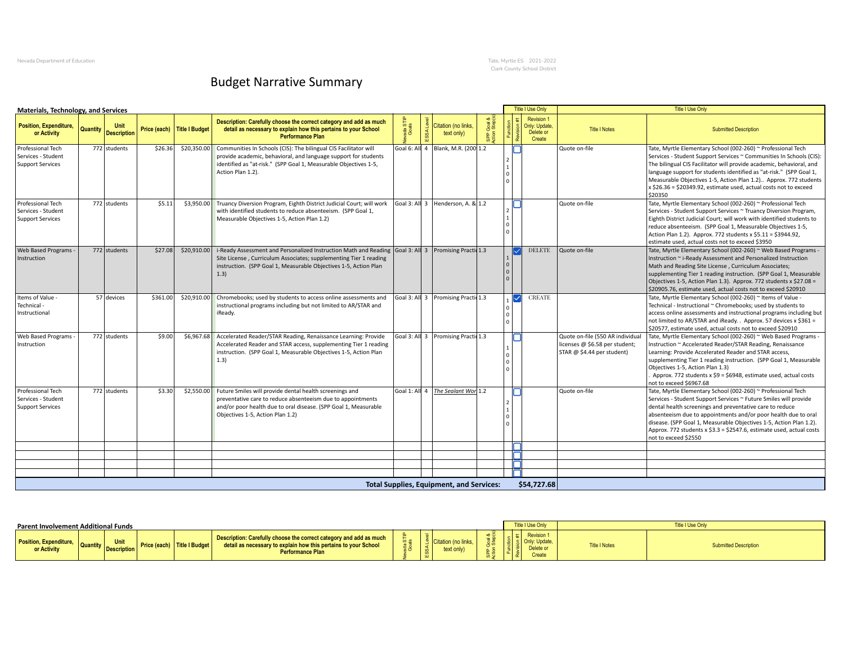Nevada Department of Education Tate, Myrtle ES 2021-2022 Clark County School District

## Budget Narrative Summary

| <b>Materials, Technology, and Services</b>                         |          |                    |          |                             |                                                                                                                                                                                                                                                                |                 |                                                 |                             | <b>Title I Use Only</b>                                   |                                                                                                  | <b>Title I Use Only</b>                                                                                                                                                                                                                                                                                                                                                                                                                |
|--------------------------------------------------------------------|----------|--------------------|----------|-----------------------------|----------------------------------------------------------------------------------------------------------------------------------------------------------------------------------------------------------------------------------------------------------------|-----------------|-------------------------------------------------|-----------------------------|-----------------------------------------------------------|--------------------------------------------------------------------------------------------------|----------------------------------------------------------------------------------------------------------------------------------------------------------------------------------------------------------------------------------------------------------------------------------------------------------------------------------------------------------------------------------------------------------------------------------------|
| Position, Expenditure,<br>or Activity                              | Quantity | <b>Description</b> |          | Price (each) Title I Budget | Description: Carefully choose the correct category and add as much<br>detail as necessary to explain how this pertains to your School<br><b>Performance Plan</b>                                                                                               | ada ST<br>Goals | Citation (no links.<br>text only)               | $\frac{8}{2}$<br><b>Bec</b> | <b>Revision 1</b><br>Only: Update,<br>Delete or<br>Create | <b>Title I Notes</b>                                                                             | <b>Submitted Description</b>                                                                                                                                                                                                                                                                                                                                                                                                           |
| Professional Tech<br>Services - Student<br><b>Support Services</b> |          | 772 students       | \$26.36  |                             | \$20,350.00 Communities In Schools (CIS): The bilingual CIS Facilitator will<br>provide academic, behavioral, and language support for students<br>identified as "at-risk." (SPP Goal 1, Measurable Objectives 1-5,<br>Action Plan 1.2).                       |                 | Goal 6: All 4   Blank, M.R. (200 1.2            |                             |                                                           | Quote on-file                                                                                    | Tate, Myrtle Elementary School (002-260) ~ Professional Tech<br>Services - Student Support Services ~ Communities In Schools (CIS):<br>The bilingual CIS Facilitator will provide academic, behavioral, and<br>language support for students identified as "at-risk." (SPP Goal 1,<br>Measurable Objectives 1-5, Action Plan 1.2) Approx. 772 students<br>x \$26.36 = \$20349.92, estimate used, actual costs not to exceed<br>\$20350 |
| Professional Tech<br>Services - Student<br><b>Support Services</b> |          | 772 students       | \$5.11   |                             | \$3,950.00 Truancy Diversion Program, Eighth District Judicial Court; will work<br>with identified students to reduce absenteeism. (SPP Goal 1,<br>Measurable Objectives 1-5, Action Plan 1.2)                                                                 |                 | Goal 3: All 3 Henderson, A. & 1.2               |                             |                                                           | Quote on-file                                                                                    | Tate, Myrtle Elementary School (002-260) ~ Professional Tech<br>Services - Student Support Services ~ Truancy Diversion Program,<br>Eighth District Judicial Court; will work with identified students to<br>reduce absenteeism. (SPP Goal 1, Measurable Objectives 1-5,<br>Action Plan 1.2). Approx. 772 students x \$5.11 = \$3944.92,<br>estimate used, actual costs not to exceed \$3950                                           |
| <b>Web Based Programs</b><br>Instruction                           |          | 772 students       | \$27.08  |                             | \$20,910.00 i-Ready Assessment and Personalized Instruction Math and Reading Goal 3: All 3 Promising Praction<br>Site License, Curriculum Associates; supplementing Tier 1 reading<br>instruction. (SPP Goal 1, Measurable Objectives 1-5, Action Plan<br>1.3) |                 |                                                 |                             | <b>DELETE</b>                                             | Quote on-file                                                                                    | Tate, Myrtle Elementary School (002-260) ~ Web Based Programs<br>Instruction ~ i-Ready Assessment and Personalized Instruction<br>Math and Reading Site License, Curriculum Associates;<br>supplementing Tier 1 reading instruction. (SPP Goal 1, Measurable<br>Objectives 1-5, Action Plan 1.3). Approx. 772 students x \$27.08 =<br>\$20905.76, estimate used, actual costs not to exceed \$20910                                    |
| Items of Value -<br>Technical<br>Instructional                     |          | 57 devices         | \$361.00 |                             | \$20,910.00 Chromebooks; used by students to access online assessments and<br>instructional programs including but not limited to AR/STAR and<br>iReady.                                                                                                       |                 | Goal 3: All 3 Promising Practic 1.3             |                             | $\triangledown$ CREATE                                    |                                                                                                  | Tate, Myrtle Elementary School (002-260) ~ Items of Value -<br>Technical - Instructional ~ Chromebooks; used by students to<br>access online assessments and instructional programs including but<br>not limited to AR/STAR and iReady. . Approx. 57 devices x \$361 =<br>\$20577, estimate used, actual costs not to exceed \$20910                                                                                                   |
| Web Based Programs<br>Instruction                                  |          | 772 students       | \$9.00   |                             | \$6,967.68 Accelerated Reader/STAR Reading, Renaissance Learning: Provide<br>Accelerated Reader and STAR access, supplementing Tier 1 reading<br>instruction. (SPP Goal 1, Measurable Objectives 1-5, Action Plan<br>1.3)                                      |                 | Goal 3: All 3 Promising Practio 1.3             |                             |                                                           | Quote on-file (550 AR individual<br>licenses @ \$6.58 per student;<br>STAR @ \$4.44 per student) | Tate, Myrtle Elementary School (002-260) ~ Web Based Programs -<br>Instruction ~ Accelerated Reader/STAR Reading, Renaissance<br>Learning: Provide Accelerated Reader and STAR access,<br>supplementing Tier 1 reading instruction. (SPP Goal 1, Measurable<br>Objectives 1-5, Action Plan 1.3)<br>Approx. 772 students x \$9 = \$6948, estimate used, actual costs<br>not to exceed \$6967.68                                         |
| Professional Tech<br>Services - Student<br><b>Support Services</b> |          | 772 students       | \$3.30   |                             | \$2,550.00 Future Smiles will provide dental health screenings and<br>preventative care to reduce absenteeism due to appointments<br>and/or poor health due to oral disease. (SPP Goal 1, Measurable<br>Objectives 1-5, Action Plan 1.2)                       |                 | Goal 1: All 4 The Sealant Worl 1.2              |                             |                                                           | Quote on-file                                                                                    | Tate, Myrtle Elementary School (002-260) ~ Professional Tech<br>Services - Student Support Services ~ Future Smiles will provide<br>dental health screenings and preventative care to reduce<br>absenteeism due to appointments and/or poor health due to oral<br>disease. (SPP Goal 1, Measurable Objectives 1-5, Action Plan 1.2).<br>Approx. 772 students x \$3.3 = \$2547.6, estimate used, actual costs<br>not to exceed \$2550   |
|                                                                    |          |                    |          |                             |                                                                                                                                                                                                                                                                |                 |                                                 |                             |                                                           |                                                                                                  |                                                                                                                                                                                                                                                                                                                                                                                                                                        |
|                                                                    |          |                    |          |                             |                                                                                                                                                                                                                                                                |                 |                                                 |                             |                                                           |                                                                                                  |                                                                                                                                                                                                                                                                                                                                                                                                                                        |
|                                                                    |          |                    |          |                             |                                                                                                                                                                                                                                                                |                 |                                                 |                             |                                                           |                                                                                                  |                                                                                                                                                                                                                                                                                                                                                                                                                                        |
|                                                                    |          |                    |          |                             |                                                                                                                                                                                                                                                                |                 | <b>Total Supplies, Equipment, and Services:</b> |                             | \$54,727.68                                               |                                                                                                  |                                                                                                                                                                                                                                                                                                                                                                                                                                        |

| Parent Involvement Additional Funds          |                                         |                            |                             |                                                                                                                                                                  |            |                   |      | Title I Use Only                |                      | <b>Title I Use Only</b> |
|----------------------------------------------|-----------------------------------------|----------------------------|-----------------------------|------------------------------------------------------------------------------------------------------------------------------------------------------------------|------------|-------------------|------|---------------------------------|----------------------|-------------------------|
| <b>Position, Expenditure,</b><br>or Activity | <b>Collection Collection Collection</b> | Unit<br><b>Description</b> | Price (each) Title I Budget | Description: Carefully choose the correct category and add as much<br>detail as necessary to explain how this pertains to your School<br><b>Performance Plan</b> | <u>≍ ຕ</u> | text only)<br>ESS | .- W | Revision<br>Delete or<br>Create | <b>Title I Notes</b> | ubmitted Description    |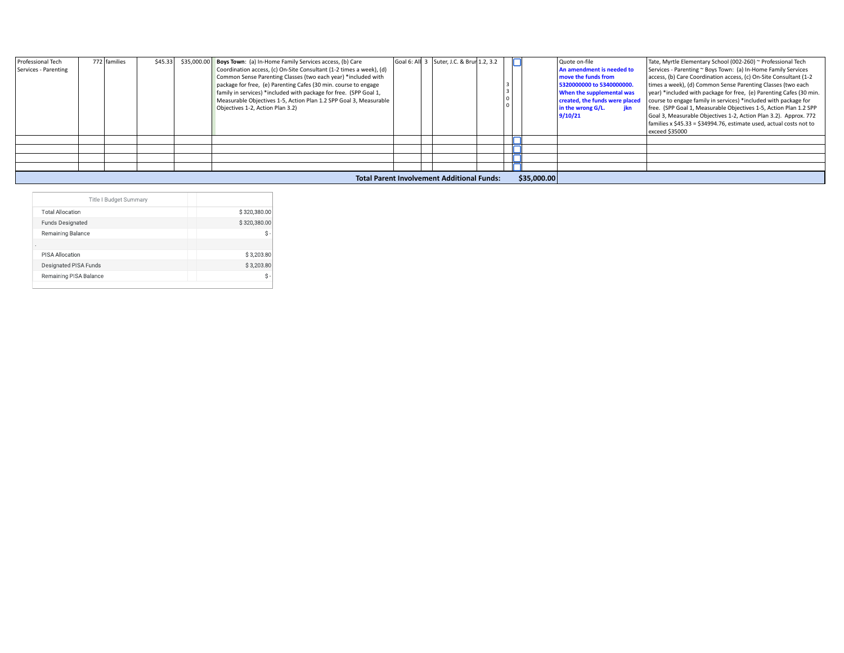| Professional Tech<br>Services - Parenting | 772 families | \$45.33 | \$35,000.00 | Boys Town: (a) In-Home Family Services access, (b) Care<br>Coordination access, (c) On-Site Consultant (1-2 times a week), (d)<br>Common Sense Parenting Classes (two each year) *included with<br>package for free, (e) Parenting Cafes (30 min. course to engage<br>family in services) *included with package for free. (SPP Goal 1,<br>Measurable Objectives 1-5, Action Plan 1.2 SPP Goal 3, Measurable<br>Objectives 1-2, Action Plan 3.2) |  | Goal 6: All 3 Suter, J.C. & Brun 1.2, 3.2         |             | Quote on-file<br>An amendment is needed to<br>move the funds from<br>5320000000 to 5340000000.<br>When the supplemental was<br>created, the funds were placed<br>in the wrong G/L.<br>ikn | Tate, Myrtle Elementary School (002-260) ~ Professional Tech<br>Services - Parenting ~ Boys Town: (a) In-Home Family Services<br>access, (b) Care Coordination access, (c) On-Site Consultant (1-2<br>times a week), (d) Common Sense Parenting Classes (two each<br>year) *included with package for free, (e) Parenting Cafes (30 min.<br>course to engage family in services) *included with package for<br>free. (SPP Goal 1, Measurable Objectives 1-5, Action Plan 1.2 SPP |
|-------------------------------------------|--------------|---------|-------------|--------------------------------------------------------------------------------------------------------------------------------------------------------------------------------------------------------------------------------------------------------------------------------------------------------------------------------------------------------------------------------------------------------------------------------------------------|--|---------------------------------------------------|-------------|-------------------------------------------------------------------------------------------------------------------------------------------------------------------------------------------|----------------------------------------------------------------------------------------------------------------------------------------------------------------------------------------------------------------------------------------------------------------------------------------------------------------------------------------------------------------------------------------------------------------------------------------------------------------------------------|
|                                           |              |         |             |                                                                                                                                                                                                                                                                                                                                                                                                                                                  |  |                                                   |             | 9/10/21                                                                                                                                                                                   | Goal 3, Measurable Objectives 1-2, Action Plan 3.2). Approx. 772<br>families x \$45.33 = \$34994.76, estimate used, actual costs not to<br>exceed \$35000                                                                                                                                                                                                                                                                                                                        |
|                                           |              |         |             |                                                                                                                                                                                                                                                                                                                                                                                                                                                  |  |                                                   |             |                                                                                                                                                                                           |                                                                                                                                                                                                                                                                                                                                                                                                                                                                                  |
|                                           |              |         |             |                                                                                                                                                                                                                                                                                                                                                                                                                                                  |  |                                                   |             |                                                                                                                                                                                           |                                                                                                                                                                                                                                                                                                                                                                                                                                                                                  |
|                                           |              |         |             |                                                                                                                                                                                                                                                                                                                                                                                                                                                  |  |                                                   |             |                                                                                                                                                                                           |                                                                                                                                                                                                                                                                                                                                                                                                                                                                                  |
|                                           |              |         |             |                                                                                                                                                                                                                                                                                                                                                                                                                                                  |  |                                                   |             |                                                                                                                                                                                           |                                                                                                                                                                                                                                                                                                                                                                                                                                                                                  |
|                                           |              |         |             |                                                                                                                                                                                                                                                                                                                                                                                                                                                  |  | <b>Total Parent Involvement Additional Funds:</b> | \$35,000.00 |                                                                                                                                                                                           |                                                                                                                                                                                                                                                                                                                                                                                                                                                                                  |

| Title I Budget Summary  |              |
|-------------------------|--------------|
| <b>Total Allocation</b> | \$320,380.00 |
| <b>Funds Designated</b> | \$320,380.00 |
| Remaining Balance       | Ś -          |
| ٠                       |              |
| PISA Allocation         | \$3,203.80   |
| Designated PISA Funds   | \$3,203.80   |
| Remaining PISA Balance  | Ś-           |